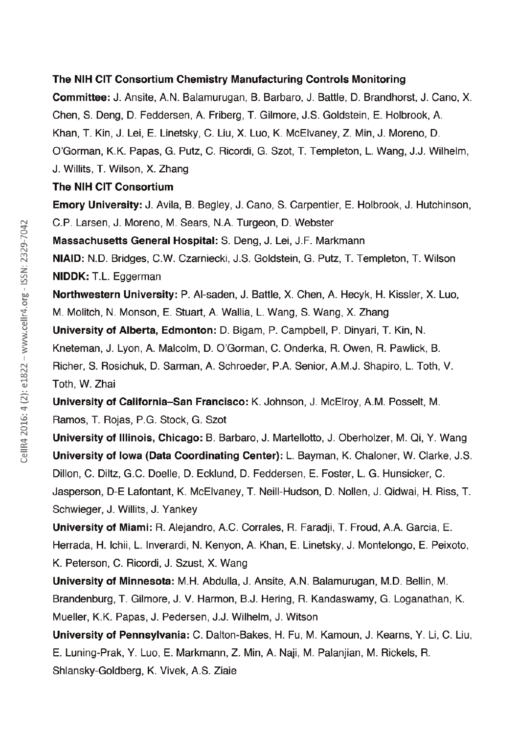## The NIH CIT Consortium Chemistry Manufacturing Controls Monitoring

Committee: J. Ansite, A.N. Balamurugan, B. Barbaro, J. Battle, D. Brandhorst, J. Cano, X. Chen, S. Deng, D. Feddersen, A. Friberg, T. Gilmore, J.S. Goldstein, E. Holbrook, A. Khan, T. Kin, J. Lei, E. Linetsky, C. Liu, X. Luo, K. McElvaney, Z. Min, J. Moreno, D. O'Gorman, K.K. Papas, G. Putz, C. Ricordi, G. Szot, T. Templeton, L. Wang, J.J. Wilhelm, J. Willits, T. Wilson, X. Zhang

# The NIH CIT Consortium

**Emory University:** J. Avila, B. Begley, J. Cano, S. Carpentier, E. Holbrook, J. Hutchinson, C.P. Larsen, J. Moreno, M. Sears, N.A. Turgeon, D. Webster

Massachusetts General Hospital: S. Deng, J. Lei, J.F. Markmann

NIAID: N.D. Bridges, C.W. Czarniecki, J.S. Goldstein, G. Putz, T. Templeton, T. Wilson **NIDDK: T.L. Eggerman** 

Northwestern University: P. Al-saden, J. Battle, X. Chen, A. Hecyk, H. Kissler, X. Luo, M. Molitch, N. Monson, E. Stuart, A. Wallia, L. Wang, S. Wang, X. Zhang

University of Alberta, Edmonton: D. Bigam, P. Campbell, P. Dinyari, T. Kin, N.

Kneteman, J. Lyon, A. Malcolm, D. O'Gorman, C. Onderka, R. Owen, R. Pawlick, B. Richer, S. Rosichuk, D. Sarman, A. Schroeder, P.A. Senior, A.M.J. Shapiro, L. Toth, V. Toth, W. Zhai

University of California-San Francisco: K. Johnson, J. McElroy, A.M. Posselt, M. Ramos, T. Rojas, P.G. Stock, G. Szot

University of Illinois, Chicago: B. Barbaro, J. Martellotto, J. Oberholzer, M. Qi, Y. Wang University of Iowa (Data Coordinating Center): L. Bayman, K. Chaloner, W. Clarke, J.S. Dillon, C. Diltz, G.C. Doelle, D. Ecklund, D. Feddersen, E. Foster, L. G. Hunsicker, C. Jasperson, D-E Lafontant, K. McElvaney, T. Neill-Hudson, D. Nollen, J. Qidwai, H. Riss, T. Schwieger, J. Willits, J. Yankey

University of Miami: R. Alejandro, A.C. Corrales, R. Faradji, T. Froud, A.A. Garcia, E. Herrada, H. Ichii, L. Inverardi, N. Kenyon, A. Khan, E. Linetsky, J. Montelongo, E. Peixoto, K. Peterson, C. Ricordi, J. Szust, X. Wang

University of Minnesota: M.H. Abdulla, J. Ansite, A.N. Balamurugan, M.D. Bellin, M. Brandenburg, T. Gilmore, J. V. Harmon, B.J. Hering, R. Kandaswamy, G. Loganathan, K. Mueller, K.K. Papas, J. Pedersen, J.J. Wilhelm, J. Witson

University of Pennsylvania: C. Dalton-Bakes, H. Fu, M. Kamoun, J. Kearns, Y. Li, C. Liu, E. Luning-Prak, Y. Luo, E. Markmann, Z. Min, A. Naji, M. Palanjian, M. Rickels, R. Shlansky-Goldberg, K. Vivek, A.S. Ziaie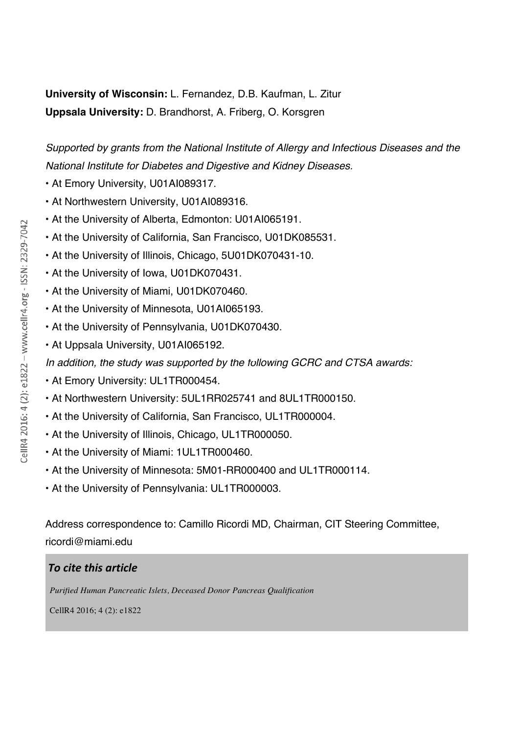**University of Wisconsin:** L. Fernandez, D.B. Kaufman, L. Zitur Uppsala University: D. Brandhorst, A. Friberg, O. Korsgren

Supported by grants from the National Institute of Allergy and Infectious Diseases and the National Institute for Diabetes and Digestive and Kidney Diseases.

- At Emory University, U01AI089317.
- At Northwestern University, U01AI089316.
- At the University of Alberta, Edmonton: U01AI065191.
- At the University of California, San Francisco, U01DK0855 531.
- At the University of Illinois, Chicago, 5U01DK070431-10.
- At the University of Iowa, U01DK070431.
- At the University of Miami, U01DK070460.
- At the University of Minnesota, U01AI065193.
- At the University of Pennsylvania, U01DK070430.
- At Uppsala University, U01AI065192.

In addition, the study was supported by the following GCRC and CTSA awards.

- At Emory University: UL1TR000454.
- At Northwestern University: 5UL1RR025741 and 8UL1TR000150.
- At the University of California, San Francisco, UL1TR000004.
- At the University of Illinois, Chicago, UL1TR000050.
- At the University of Miami: 1UL1TR000460.
- At the University of Minnesota: 5M01-RR000400 and UL1TR000114.
- At the University of Pennsylvania: UL1TR000003.

Address correspondence to: Camillo Ricordi MD, Chairman, CIT Steering Committee, ricordi@miami.edu

# *To cite this article*

*Purified Human Pancreatic Islets, Deceased Donor Pancreas Qualification*

CellR4 2016; 4 (2): e1822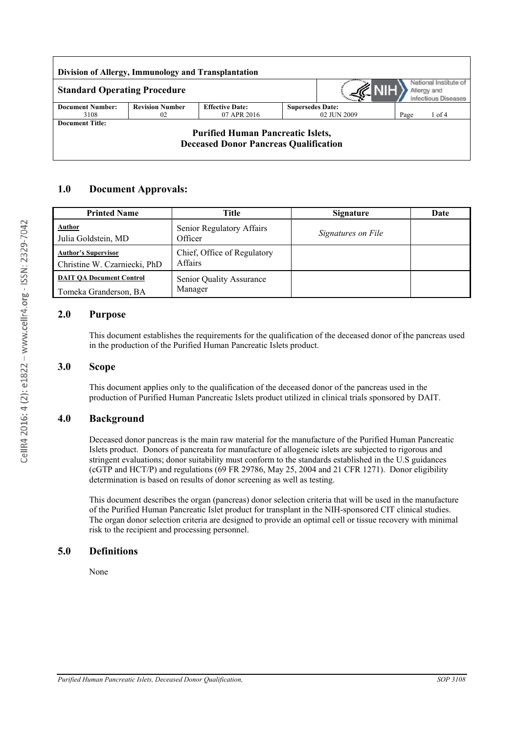| Division of Allergy, Immunology and Transplantation |                        |                                              |                         |                                                                 |  |  |  |
|-----------------------------------------------------|------------------------|----------------------------------------------|-------------------------|-----------------------------------------------------------------|--|--|--|
| <b>Standard Operating Procedure</b>                 |                        |                                              |                         | National Institute<br>Allergy and<br><b>Infectious Diseases</b> |  |  |  |
| <b>Document Number:</b>                             | <b>Revision Number</b> | <b>Effective Date:</b>                       | <b>Supersedes Date:</b> |                                                                 |  |  |  |
| 3108                                                | 02                     | 07 APR 2016                                  | 02 JUN 2009             | Page<br>1 of 4                                                  |  |  |  |
| <b>Document Title:</b>                              |                        |                                              |                         |                                                                 |  |  |  |
|                                                     |                        | <b>Purified Human Pancreatic Islets,</b>     |                         |                                                                 |  |  |  |
|                                                     |                        | <b>Deceased Donor Pancreas Qualification</b> |                         |                                                                 |  |  |  |

# **1.0 Document Approvals:**

| <b>Printed Name</b>                                        | Title                                  | <b>Signature</b>   | Date |
|------------------------------------------------------------|----------------------------------------|--------------------|------|
| Author<br>Julia Goldstein, MD                              | Senior Regulatory Affairs<br>Officer   | Signatures on File |      |
| <b>Author's Supervisor</b><br>Christine W. Czarniecki, PhD | Chief, Office of Regulatory<br>Affairs |                    |      |
| <b>DAIT OA Document Control</b><br>Tomeka Granderson, BA   | Senior Quality Assurance<br>Manager    |                    |      |

# **2.0 Purpose**

This document establishes the requirements for the qualification of the deceased donor of the pancreas used in the production of the Purified Human Pancreatic Islets product.

### **3.0 Scope**

This document applies only to the qualification of the deceased donor of the pancreas used in the production of Purified Human Pancreatic Islets product utilized in clinical trials sponsored by DAIT.

# **4.0 Background**

Deceased donor pancreas is the main raw material for the manufacture of the Purified Human Pancreatic Islets product. Donors of pancreata for manufacture of allogeneic islets are subjected to rigorous and stringent evaluations; donor suitability must conform to the standards established in the U.S guidances (cGTP and HCT/P) and regulations (69 FR 29786, May 25, 2004 and 21 CFR 1271). Donor eligibility determination is based on results of donor screening as well as testing.

This document describes the organ (pancreas) donor selection criteria that will be used in the manufacture of the Purified Human Pancreatic Islet product for transplant in the NIH-sponsored CIT clinical studies. The organ donor selection criteria are designed to provide an optimal cell or tissue recovery with minimal risk to the recipient and processing personnel.

### **5.0 Definitions**

None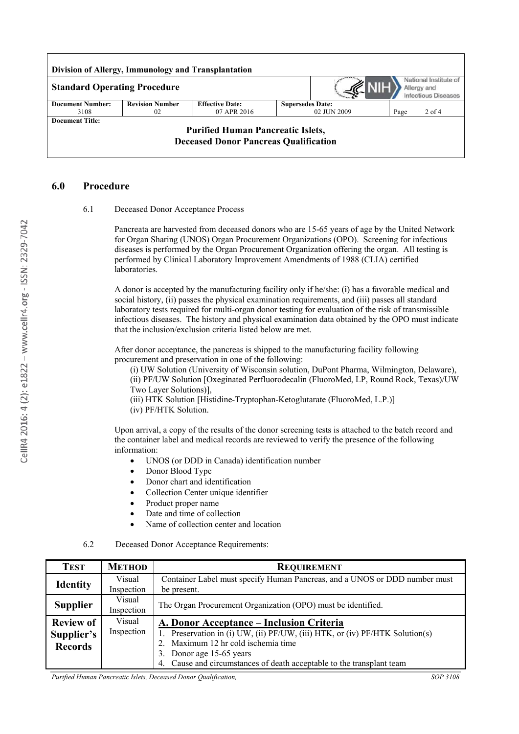| Division of Allergy, Immunology and Transplantation |                        |                        |                         |             |      |                                                                    |  |
|-----------------------------------------------------|------------------------|------------------------|-------------------------|-------------|------|--------------------------------------------------------------------|--|
| <b>Standard Operating Procedure</b>                 |                        |                        |                         |             |      | National Institute of<br>Allergy and<br><b>Infectious Diseases</b> |  |
| <b>Document Number:</b>                             | <b>Revision Number</b> | <b>Effective Date:</b> | <b>Supersedes Date:</b> |             |      |                                                                    |  |
| 3108                                                | 02                     | 07 APR 2016            |                         | 02 JUN 2009 | Page | $2$ of 4                                                           |  |
| <b>Document Title:</b>                              |                        |                        |                         |             |      |                                                                    |  |
| <b>Purified Human Pancreatic Islets,</b>            |                        |                        |                         |             |      |                                                                    |  |
| <b>Deceased Donor Pancreas Qualification</b>        |                        |                        |                         |             |      |                                                                    |  |
|                                                     |                        |                        |                         |             |      |                                                                    |  |

### **6.0 Procedure**

#### 6.1 Deceased Donor Acceptance Process

Pancreata are harvested from deceased donors who are 15-65 years of age by the United Network for Organ Sharing (UNOS) Organ Procurement Organizations (OPO). Screening for infectious diseases is performed by the Organ Procurement Organization offering the organ. All testing is performed by Clinical Laboratory Improvement Amendments of 1988 (CLIA) certified laboratories.

A donor is accepted by the manufacturing facility only if he/she: (i) has a favorable medical and social history, (ii) passes the physical examination requirements, and (iii) passes all standard laboratory tests required for multi-organ donor testing for evaluation of the risk of transmissible infectious diseases. The history and physical examination data obtained by the OPO must indicate that the inclusion/exclusion criteria listed below are met.

After donor acceptance, the pancreas is shipped to the manufacturing facility following procurement and preservation in one of the following:

(i) UW Solution (University of Wisconsin solution, DuPont Pharma, Wilmington, Delaware), (ii) PF/UW Solution [Oxeginated Perfluorodecalin (FluoroMed, LP, Round Rock, Texas)/UW Two Layer Solutions)],

- (iii) HTK Solution [Histidine-Tryptophan-Ketoglutarate (FluoroMed, L.P.)]
- (iv) PF/HTK Solution.

Upon arrival, a copy of the results of the donor screening tests is attached to the batch record and the container label and medical records are reviewed to verify the presence of the following information:

- UNOS (or DDD in Canada) identification number
- Donor Blood Type
- Donor chart and identification
- Collection Center unique identifier
- Product proper name
- Date and time of collection
- Name of collection center and location

| 6.2 | Deceased Donor Acceptance Requirements: |  |
|-----|-----------------------------------------|--|
|-----|-----------------------------------------|--|

| <b>TEST</b>      | <b>METHOD</b> | <b>REQUIREMENT</b>                                                         |
|------------------|---------------|----------------------------------------------------------------------------|
| <b>Identity</b>  | Visual        | Container Label must specify Human Pancreas, and a UNOS or DDD number must |
|                  | Inspection    | be present.                                                                |
| <b>Supplier</b>  | Visual        | The Organ Procurement Organization (OPO) must be identified.               |
|                  | Inspection    |                                                                            |
| <b>Review of</b> | Visual        | A. Donor Acceptance – Inclusion Criteria                                   |
| Supplier's       | Inspection    | Preservation in (i) UW, (ii) PF/UW, (iii) HTK, or (iv) PF/HTK Solution(s)  |
| <b>Records</b>   |               | 2. Maximum 12 hr cold ischemia time                                        |
|                  |               | Donor age 15-65 years<br>3.                                                |
|                  |               | Cause and circumstances of death acceptable to the transplant team<br>4.   |

*Purified Human Pancreatic Islets, Deceased Donor Qualification, SOP 3108*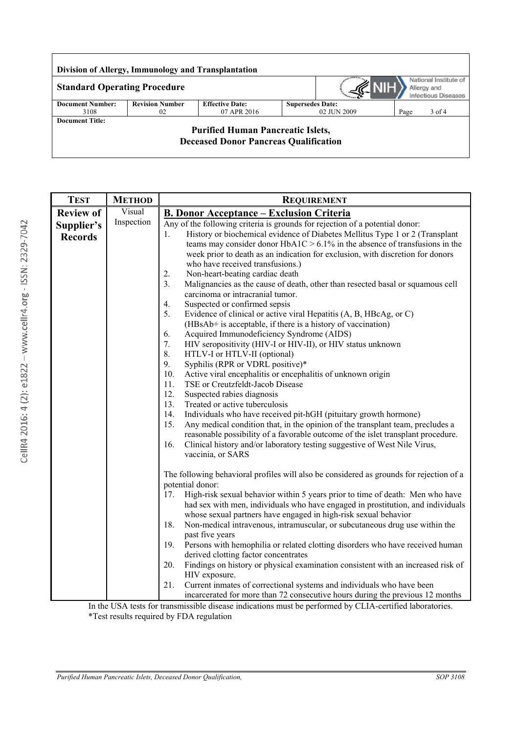|                                     | Division of Allergy, Immunology and Transplantation |                                                                                          |                         |             |      |                                                                    |
|-------------------------------------|-----------------------------------------------------|------------------------------------------------------------------------------------------|-------------------------|-------------|------|--------------------------------------------------------------------|
| <b>Standard Operating Procedure</b> |                                                     |                                                                                          |                         |             |      | National Institute of<br>Allergy and<br><b>Infectious Diseases</b> |
| <b>Document Number:</b>             | <b>Revision Number</b>                              | <b>Effective Date:</b>                                                                   | <b>Supersedes Date:</b> |             |      |                                                                    |
| 3108                                | 02                                                  | 07 APR 2016                                                                              |                         | 02 JUN 2009 | Page | $3$ of 4                                                           |
| <b>Document Title:</b>              |                                                     |                                                                                          |                         |             |      |                                                                    |
|                                     |                                                     | <b>Purified Human Pancreatic Islets,</b><br><b>Deceased Donor Pancreas Qualification</b> |                         |             |      |                                                                    |

| <b>TEST</b>                  | <b>METHOD</b> | <b>REQUIREMENT</b>                                                                                                                                                                                                                                                                                                                                                                                                                                                                                                                                                                                                                                                                                                                                                                                                                                                                                                                                                                                                                                                                              |
|------------------------------|---------------|-------------------------------------------------------------------------------------------------------------------------------------------------------------------------------------------------------------------------------------------------------------------------------------------------------------------------------------------------------------------------------------------------------------------------------------------------------------------------------------------------------------------------------------------------------------------------------------------------------------------------------------------------------------------------------------------------------------------------------------------------------------------------------------------------------------------------------------------------------------------------------------------------------------------------------------------------------------------------------------------------------------------------------------------------------------------------------------------------|
| <b>Review of</b>             | Visual        | <b>B. Donor Acceptance – Exclusion Criteria</b>                                                                                                                                                                                                                                                                                                                                                                                                                                                                                                                                                                                                                                                                                                                                                                                                                                                                                                                                                                                                                                                 |
| Supplier's<br><b>Records</b> | Inspection    | Any of the following criteria is grounds for rejection of a potential donor:<br>History or biochemical evidence of Diabetes Mellitus Type 1 or 2 (Transplant<br>1.<br>teams may consider donor HbA1C > $6.1\%$ in the absence of transfusions in the<br>week prior to death as an indication for exclusion, with discretion for donors<br>who have received transfusions.)<br>2.<br>Non-heart-beating cardiac death                                                                                                                                                                                                                                                                                                                                                                                                                                                                                                                                                                                                                                                                             |
|                              |               | 3 <sub>1</sub><br>Malignancies as the cause of death, other than resected basal or squamous cell<br>carcinoma or intracranial tumor.<br>4.<br>Suspected or confirmed sepsis<br>5.<br>Evidence of clinical or active viral Hepatitis (A, B, HBcAg, or C)<br>(HBsAb+ is acceptable, if there is a history of vaccination)<br>6.<br>Acquired Immunodeficiency Syndrome (AIDS)<br>7.<br>HIV seropositivity (HIV-I or HIV-II), or HIV status unknown<br>8.<br>HTLV-I or HTLV-II (optional)<br>9.<br>Syphilis (RPR or VDRL positive)*<br>Active viral encephalitis or encephalitis of unknown origin<br>10.<br>11.<br>TSE or Creutzfeldt-Jacob Disease<br>12.<br>Suspected rabies diagnosis<br>13.<br>Treated or active tuberculosis<br>14.<br>Individuals who have received pit-hGH (pituitary growth hormone)<br>Any medical condition that, in the opinion of the transplant team, precludes a<br>15.<br>reasonable possibility of a favorable outcome of the islet transplant procedure.<br>16.<br>Clinical history and/or laboratory testing suggestive of West Nile Virus,<br>vaccinia, or SARS |
|                              |               | The following behavioral profiles will also be considered as grounds for rejection of a<br>potential donor:<br>High-risk sexual behavior within 5 years prior to time of death: Men who have<br>17.<br>had sex with men, individuals who have engaged in prostitution, and individuals<br>whose sexual partners have engaged in high-risk sexual behavior<br>18.<br>Non-medical intravenous, intramuscular, or subcutaneous drug use within the<br>past five years<br>Persons with hemophilia or related clotting disorders who have received human<br>19.<br>derived clotting factor concentrates<br>20.<br>Findings on history or physical examination consistent with an increased risk of<br>HIV exposure.<br>Current inmates of correctional systems and individuals who have been<br>21.<br>incarcerated for more than 72 consecutive hours during the previous 12 months                                                                                                                                                                                                                 |

In the USA tests for transmissible disease indications must be performed by CLIA-certified laboratories. \*Test results required by FDA regulation

 $\mathbf{I}$